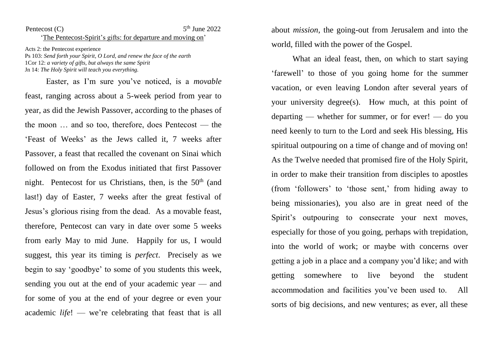## Pentecost  $(C)$  $5<sup>th</sup>$  June 2022 'The Pentecost-Spirit's gifts: for departure and moving on'

Acts 2: the Pentecost experience Ps 103: *Send forth your Spirit, O Lord, and renew the face of the earth* 1Cor 12: *a variety of gifts, but always the same Spirit* Jn 14: *The Holy Spirit will teach you everything.* 

Easter, as I'm sure you've noticed, is a *movable* feast, ranging across about a 5-week period from year to year, as did the Jewish Passover, according to the phases of the moon … and so too, therefore, does Pentecost — the 'Feast of Weeks' as the Jews called it, 7 weeks after Passover, a feast that recalled the covenant on Sinai which followed on from the Exodus initiated that first Passover night. Pentecost for us Christians, then, is the  $50<sup>th</sup>$  (and last!) day of Easter, 7 weeks after the great festival of Jesus's glorious rising from the dead. As a movable feast, therefore, Pentecost can vary in date over some 5 weeks from early May to mid June. Happily for us, I would suggest, this year its timing is *perfect*. Precisely as we begin to say 'goodbye' to some of you students this week, sending you out at the end of your academic year — and for some of you at the end of your degree or even your academic *life*! — we're celebrating that feast that is all

about *mission*, the going-out from Jerusalem and into the world, filled with the power of the Gospel.

What an ideal feast, then, on which to start saying 'farewell' to those of you going home for the summer vacation, or even leaving London after several years of your university degree(s). How much, at this point of departing — whether for summer, or for ever! — do you need keenly to turn to the Lord and seek His blessing, His spiritual outpouring on a time of change and of moving on! As the Twelve needed that promised fire of the Holy Spirit, in order to make their transition from disciples to apostles (from 'followers' to 'those sent,' from hiding away to being missionaries), you also are in great need of the Spirit's outpouring to consecrate your next moves, especially for those of you going, perhaps with trepidation, into the world of work; or maybe with concerns over getting a job in a place and a company you'd like; and with getting somewhere to live beyond the student accommodation and facilities you've been used to. All sorts of big decisions, and new ventures; as ever, all these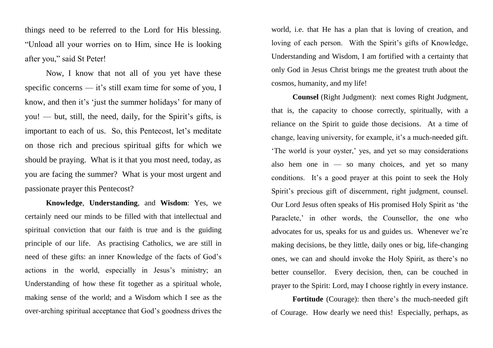things need to be referred to the Lord for His blessing. "Unload all your worries on to Him, since He is looking after you," said St Peter!

Now, I know that not all of you yet have these specific concerns — it's still exam time for some of you, I know, and then it's 'just the summer holidays' for many of you! — but, still, the need, daily, for the Spirit's gifts, is important to each of us. So, this Pentecost, let's meditate on those rich and precious spiritual gifts for which we should be praying. What is it that you most need, today, as you are facing the summer? What is your most urgent and passionate prayer this Pentecost?

**Knowledge**, **Understanding**, and **Wisdom**: Yes, we certainly need our minds to be filled with that intellectual and spiritual conviction that our faith is true and is the guiding principle of our life. As practising Catholics, we are still in need of these gifts: an inner Knowledge of the facts of God's actions in the world, especially in Jesus's ministry; an Understanding of how these fit together as a spiritual whole, making sense of the world; and a Wisdom which I see as the over-arching spiritual acceptance that God's goodness drives the world, i.e. that He has a plan that is loving of creation, and loving of each person. With the Spirit's gifts of Knowledge, Understanding and Wisdom, I am fortified with a certainty that only God in Jesus Christ brings me the greatest truth about the cosmos, humanity, and my life!

**Counsel** (Right Judgment): next comes Right Judgment, that is, the capacity to choose correctly, spiritually, with a reliance on the Spirit to guide those decisions. At a time of change, leaving university, for example, it's a much-needed gift. 'The world is your oyster,' yes, and yet so may considerations also hem one in  $-$  so many choices, and yet so many conditions. It's a good prayer at this point to seek the Holy Spirit's precious gift of discernment, right judgment, counsel. Our Lord Jesus often speaks of His promised Holy Spirit as 'the Paraclete,' in other words, the Counsellor, the one who advocates for us, speaks for us and guides us. Whenever we're making decisions, be they little, daily ones or big, life-changing ones, we can and should invoke the Holy Spirit, as there's no better counsellor. Every decision, then, can be couched in prayer to the Spirit: Lord, may I choose rightly in every instance.

**Fortitude** (Courage): then there's the much-needed gift of Courage. How dearly we need this! Especially, perhaps, as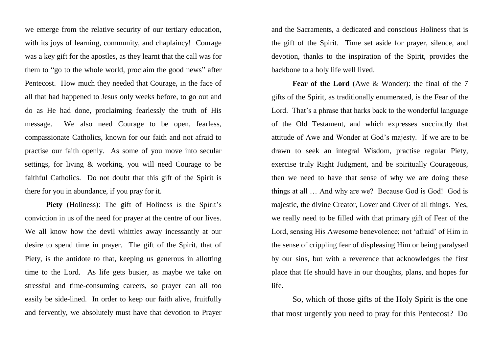we emerge from the relative security of our tertiary education, with its joys of learning, community, and chaplaincy! Courage was a key gift for the apostles, as they learnt that the call was for them to "go to the whole world, proclaim the good news" after Pentecost. How much they needed that Courage, in the face of all that had happened to Jesus only weeks before, to go out and do as He had done, proclaiming fearlessly the truth of His message. We also need Courage to be open, fearless, compassionate Catholics, known for our faith and not afraid to practise our faith openly. As some of you move into secular settings, for living & working, you will need Courage to be faithful Catholics. Do not doubt that this gift of the Spirit is there for you in abundance, if you pray for it.

Piety (Holiness): The gift of Holiness is the Spirit's conviction in us of the need for prayer at the centre of our lives. We all know how the devil whittles away incessantly at our desire to spend time in prayer. The gift of the Spirit, that of Piety, is the antidote to that, keeping us generous in allotting time to the Lord. As life gets busier, as maybe we take on stressful and time-consuming careers, so prayer can all too easily be side-lined. In order to keep our faith alive, fruitfully and fervently, we absolutely must have that devotion to Prayer

and the Sacraments, a dedicated and conscious Holiness that is the gift of the Spirit. Time set aside for prayer, silence, and devotion, thanks to the inspiration of the Spirit, provides the backbone to a holy life well lived.

**Fear of the Lord** (Awe & Wonder): the final of the 7 gifts of the Spirit, as traditionally enumerated, is the Fear of the Lord. That's a phrase that harks back to the wonderful language of the Old Testament, and which expresses succinctly that attitude of Awe and Wonder at God's majesty. If we are to be drawn to seek an integral Wisdom, practise regular Piety, exercise truly Right Judgment, and be spiritually Courageous, then we need to have that sense of why we are doing these things at all … And why are we? Because God is God! God is majestic, the divine Creator, Lover and Giver of all things. Yes, we really need to be filled with that primary gift of Fear of the Lord, sensing His Awesome benevolence; not 'afraid' of Him in the sense of crippling fear of displeasing Him or being paralysed by our sins, but with a reverence that acknowledges the first place that He should have in our thoughts, plans, and hopes for life.

So, which of those gifts of the Holy Spirit is the one that most urgently you need to pray for this Pentecost? Do